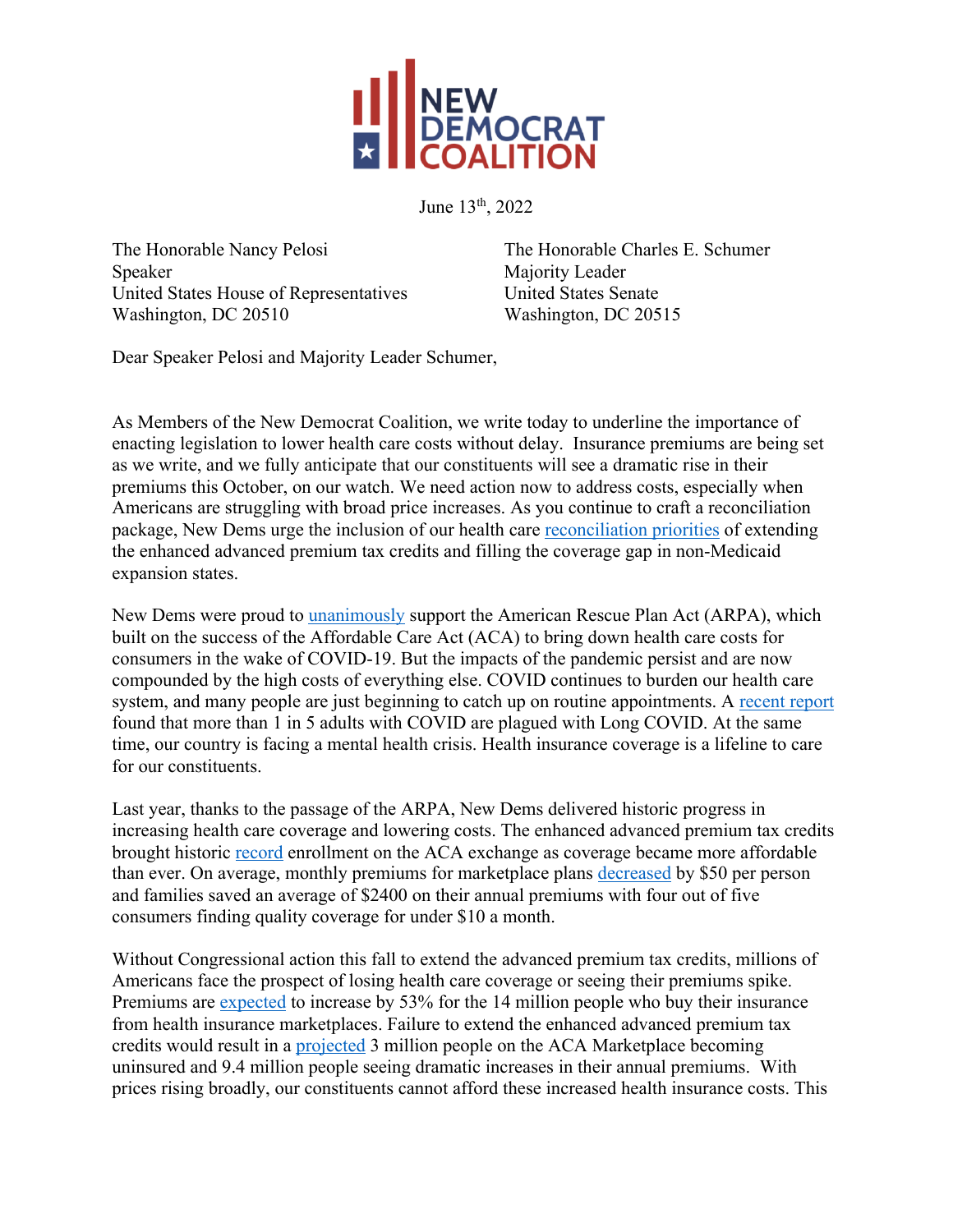

June 13th, 2022

The Honorable Nancy Pelosi The Honorable Charles E. Schumer Speaker Majority Leader United States House of Representatives United States Senate Washington, DC 20510 Washington, DC 20515

Dear Speaker Pelosi and Majority Leader Schumer,

As Members of the New Democrat Coalition, we write today to underline the importance of enacting legislation to lower health care costs without delay. Insurance premiums are being set as we write, and we fully anticipate that our constituents will see a dramatic rise in their premiums this October, on our watch. We need action now to address costs, especially when Americans are struggling with broad price increases. As you continue to craft a reconciliation package, New Dems urge the inclusion of our health care reconciliation priorities of extending the enhanced advanced premium tax credits and filling the coverage gap in non-Medicaid expansion states.

New Dems were proud to *unanimously* support the American Rescue Plan Act (ARPA), which built on the success of the Affordable Care Act (ACA) to bring down health care costs for consumers in the wake of COVID-19. But the impacts of the pandemic persist and are now compounded by the high costs of everything else. COVID continues to burden our health care system, and many people are just beginning to catch up on routine appointments. A recent report found that more than 1 in 5 adults with COVID are plagued with Long COVID. At the same time, our country is facing a mental health crisis. Health insurance coverage is a lifeline to care for our constituents.

Last year, thanks to the passage of the ARPA, New Dems delivered historic progress in increasing health care coverage and lowering costs. The enhanced advanced premium tax credits brought historic record enrollment on the ACA exchange as coverage became more affordable than ever. On average, monthly premiums for marketplace plans decreased by \$50 per person and families saved an average of \$2400 on their annual premiums with four out of five consumers finding quality coverage for under \$10 a month.

Without Congressional action this fall to extend the advanced premium tax credits, millions of Americans face the prospect of losing health care coverage or seeing their premiums spike. Premiums are expected to increase by 53% for the 14 million people who buy their insurance from health insurance marketplaces. Failure to extend the enhanced advanced premium tax credits would result in a projected 3 million people on the ACA Marketplace becoming uninsured and 9.4 million people seeing dramatic increases in their annual premiums. With prices rising broadly, our constituents cannot afford these increased health insurance costs. This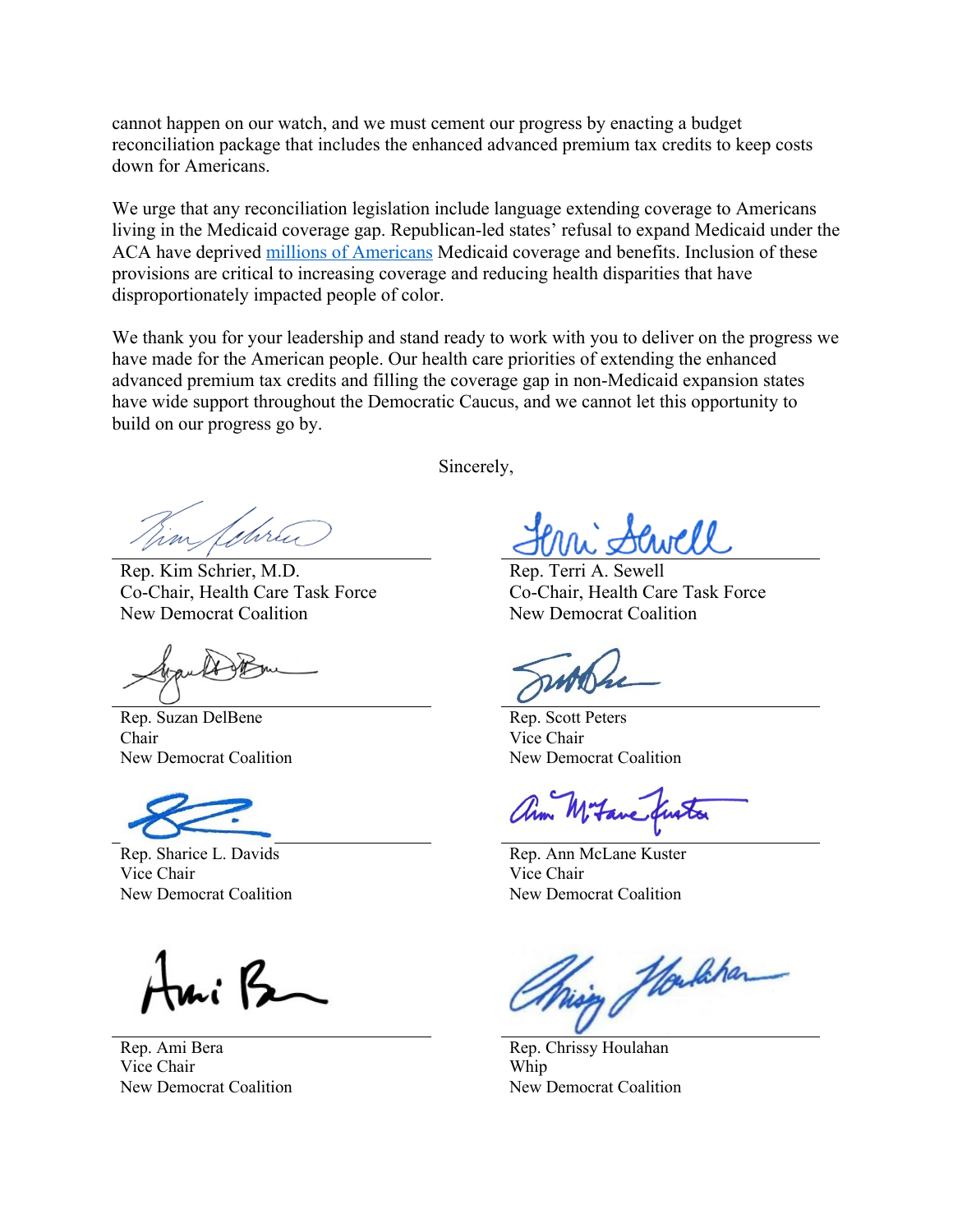cannot happen on our watch, and we must cement our progress by enacting a budget reconciliation package that includes the enhanced advanced premium tax credits to keep costs down for Americans.

We urge that any reconciliation legislation include language extending coverage to Americans living in the Medicaid coverage gap. Republican-led states' refusal to expand Medicaid under the ACA have deprived millions of Americans Medicaid coverage and benefits. Inclusion of these provisions are critical to increasing coverage and reducing health disparities that have disproportionately impacted people of color.

We thank you for your leadership and stand ready to work with you to deliver on the progress we have made for the American people. Our health care priorities of extending the enhanced advanced premium tax credits and filling the coverage gap in non-Medicaid expansion states have wide support throughout the Democratic Caucus, and we cannot let this opportunity to build on our progress go by.

Rep. Kim Schrier, M.D. Co-Chair, Health Care Task Force New Democrat Coalition

Rep. Suzan DelBene Chair New Democrat Coalition

Rep. Sharice L. Davids Vice Chair New Democrat Coalition

Rep. Ami Bera Vice Chair New Democrat Coalition

Sincerely,

Rep. Terri A. Sewell Co-Chair, Health Care Task Force New Democrat Coalition

Rep. Scott Peters Vice Chair New Democrat Coalition

Mitane

Rep. Ann McLane Kuster Vice Chair New Democrat Coalition

Moulahan

Rep. Chrissy Houlahan Whip New Democrat Coalition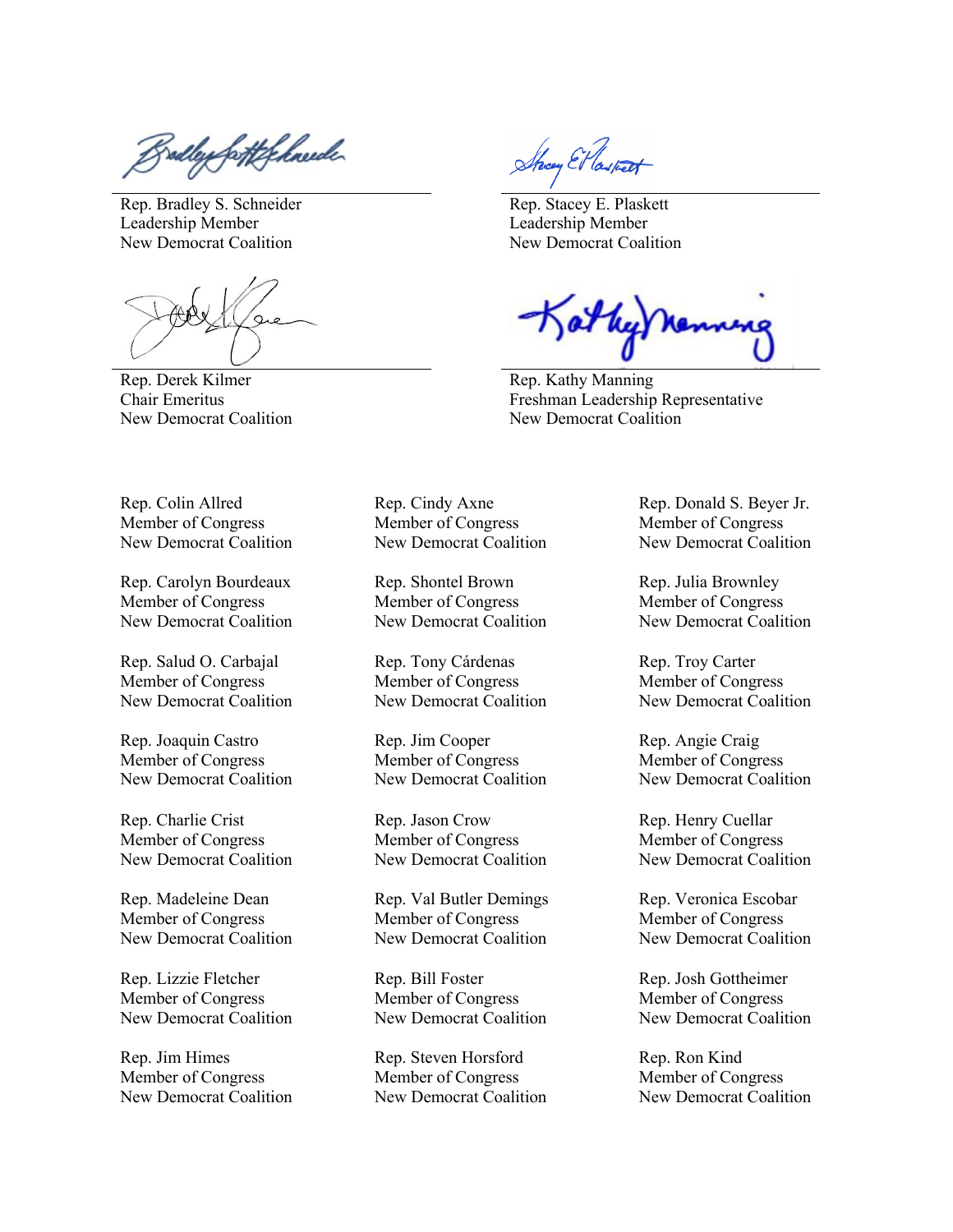salley fortfelmerde

Rep. Bradley S. Schneider Leadership Member New Democrat Coalition

Rep. Derek Kilmer Chair Emeritus New Democrat Coalition

Show El lastest

Rep. Stacey E. Plaskett Leadership Member New Democrat Coalition

at hy ne.

Rep. Kathy Manning Freshman Leadership Representative New Democrat Coalition

Rep. Colin Allred Member of Congress New Democrat Coalition

Rep. Carolyn Bourdeaux Member of Congress New Democrat Coalition

Rep. Salud O. Carbajal Member of Congress New Democrat Coalition

Rep. Joaquin Castro Member of Congress New Democrat Coalition

Rep. Charlie Crist Member of Congress New Democrat Coalition

Rep. Madeleine Dean Member of Congress New Democrat Coalition

Rep. Lizzie Fletcher Member of Congress New Democrat Coalition

Rep. Jim Himes Member of Congress New Democrat Coalition Rep. Cindy Axne Member of Congress New Democrat Coalition

Rep. Shontel Brown Member of Congress New Democrat Coalition

Rep. Tony Cárdenas Member of Congress New Democrat Coalition

Rep. Jim Cooper Member of Congress New Democrat Coalition

Rep. Jason Crow Member of Congress New Democrat Coalition

Rep. Val Butler Demings Member of Congress New Democrat Coalition

Rep. Bill Foster Member of Congress New Democrat Coalition

Rep. Steven Horsford Member of Congress New Democrat Coalition Rep. Donald S. Beyer Jr. Member of Congress New Democrat Coalition

Rep. Julia Brownley Member of Congress New Democrat Coalition

Rep. Troy Carter Member of Congress New Democrat Coalition

Rep. Angie Craig Member of Congress New Democrat Coalition

Rep. Henry Cuellar Member of Congress New Democrat Coalition

Rep. Veronica Escobar Member of Congress New Democrat Coalition

Rep. Josh Gottheimer Member of Congress New Democrat Coalition

Rep. Ron Kind Member of Congress New Democrat Coalition